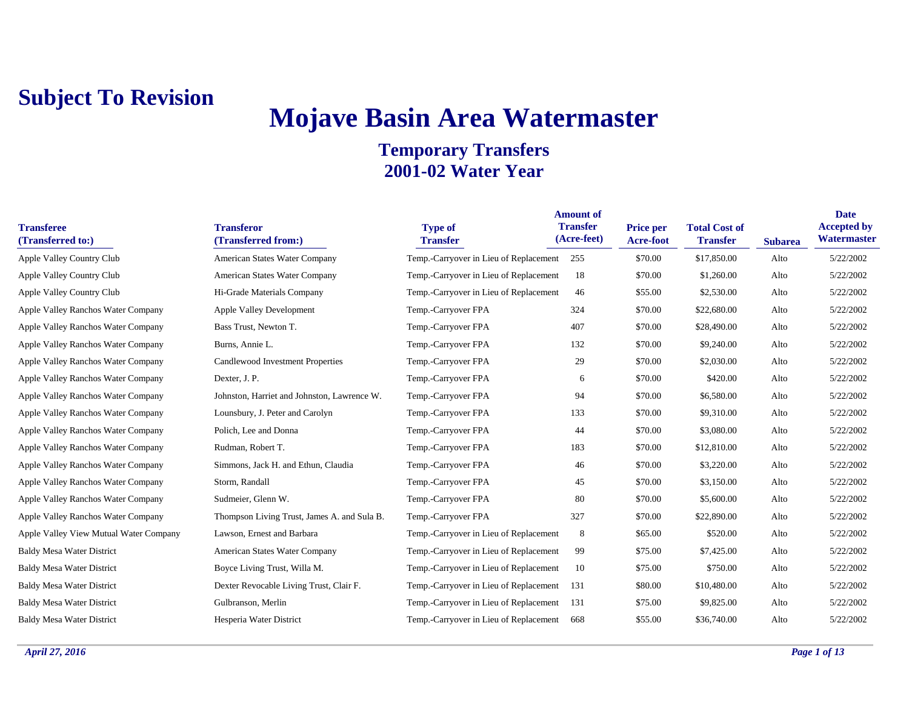## **Mojave Basin Area Watermaster**

| <b>Transferee</b><br>(Transferred to:) | <b>Transferor</b><br>(Transferred from:)    | <b>Type of</b><br><b>Transfer</b>      | <b>Amount of</b><br><b>Transfer</b><br>(Acre-feet) | <b>Price per</b><br><b>Acre-foot</b> | <b>Total Cost of</b><br><b>Transfer</b> | <b>Subarea</b> | <b>Date</b><br><b>Accepted by</b><br>Watermaster |
|----------------------------------------|---------------------------------------------|----------------------------------------|----------------------------------------------------|--------------------------------------|-----------------------------------------|----------------|--------------------------------------------------|
| Apple Valley Country Club              | American States Water Company               | Temp.-Carryover in Lieu of Replacement | 255                                                | \$70.00                              | \$17,850.00                             | Alto           | 5/22/2002                                        |
| Apple Valley Country Club              | American States Water Company               | Temp.-Carryover in Lieu of Replacement | 18                                                 | \$70.00                              | \$1,260.00                              | Alto           | 5/22/2002                                        |
| Apple Valley Country Club              | Hi-Grade Materials Company                  | Temp.-Carryover in Lieu of Replacement | 46                                                 | \$55.00                              | \$2,530.00                              | Alto           | 5/22/2002                                        |
| Apple Valley Ranchos Water Company     | Apple Valley Development                    | Temp.-Carryover FPA                    | 324                                                | \$70.00                              | \$22,680.00                             | Alto           | 5/22/2002                                        |
| Apple Valley Ranchos Water Company     | Bass Trust, Newton T.                       | Temp.-Carryover FPA                    | 407                                                | \$70.00                              | \$28,490.00                             | Alto           | 5/22/2002                                        |
| Apple Valley Ranchos Water Company     | Burns, Annie L.                             | Temp.-Carryover FPA                    | 132                                                | \$70.00                              | \$9,240.00                              | Alto           | 5/22/2002                                        |
| Apple Valley Ranchos Water Company     | Candlewood Investment Properties            | Temp.-Carryover FPA                    | 29                                                 | \$70.00                              | \$2,030.00                              | Alto           | 5/22/2002                                        |
| Apple Valley Ranchos Water Company     | Dexter, J. P.                               | Temp.-Carryover FPA                    | 6                                                  | \$70.00                              | \$420.00                                | Alto           | 5/22/2002                                        |
| Apple Valley Ranchos Water Company     | Johnston, Harriet and Johnston, Lawrence W. | Temp.-Carryover FPA                    | 94                                                 | \$70.00                              | \$6,580.00                              | Alto           | 5/22/2002                                        |
| Apple Valley Ranchos Water Company     | Lounsbury, J. Peter and Carolyn             | Temp.-Carryover FPA                    | 133                                                | \$70.00                              | \$9,310.00                              | Alto           | 5/22/2002                                        |
| Apple Valley Ranchos Water Company     | Polich, Lee and Donna                       | Temp.-Carryover FPA                    | 44                                                 | \$70.00                              | \$3,080.00                              | Alto           | 5/22/2002                                        |
| Apple Valley Ranchos Water Company     | Rudman, Robert T.                           | Temp.-Carryover FPA                    | 183                                                | \$70.00                              | \$12,810.00                             | Alto           | 5/22/2002                                        |
| Apple Valley Ranchos Water Company     | Simmons, Jack H. and Ethun, Claudia         | Temp.-Carryover FPA                    | 46                                                 | \$70.00                              | \$3,220.00                              | Alto           | 5/22/2002                                        |
| Apple Valley Ranchos Water Company     | Storm, Randall                              | Temp.-Carryover FPA                    | 45                                                 | \$70.00                              | \$3,150.00                              | Alto           | 5/22/2002                                        |
| Apple Valley Ranchos Water Company     | Sudmeier, Glenn W.                          | Temp.-Carryover FPA                    | 80                                                 | \$70.00                              | \$5,600.00                              | Alto           | 5/22/2002                                        |
| Apple Valley Ranchos Water Company     | Thompson Living Trust, James A. and Sula B. | Temp.-Carryover FPA                    | 327                                                | \$70.00                              | \$22,890.00                             | Alto           | 5/22/2002                                        |
| Apple Valley View Mutual Water Company | Lawson, Ernest and Barbara                  | Temp.-Carryover in Lieu of Replacement | 8                                                  | \$65.00                              | \$520.00                                | Alto           | 5/22/2002                                        |
| <b>Baldy Mesa Water District</b>       | American States Water Company               | Temp.-Carryover in Lieu of Replacement | 99                                                 | \$75.00                              | \$7,425.00                              | Alto           | 5/22/2002                                        |
| <b>Baldy Mesa Water District</b>       | Boyce Living Trust, Willa M.                | Temp.-Carryover in Lieu of Replacement | 10                                                 | \$75.00                              | \$750.00                                | Alto           | 5/22/2002                                        |
| <b>Baldy Mesa Water District</b>       | Dexter Revocable Living Trust, Clair F.     | Temp.-Carryover in Lieu of Replacement | 131                                                | \$80.00                              | \$10,480.00                             | Alto           | 5/22/2002                                        |
| <b>Baldy Mesa Water District</b>       | Gulbranson, Merlin                          | Temp.-Carryover in Lieu of Replacement | 131                                                | \$75.00                              | \$9,825.00                              | Alto           | 5/22/2002                                        |
| <b>Baldy Mesa Water District</b>       | Hesperia Water District                     | Temp.-Carryover in Lieu of Replacement | 668                                                | \$55.00                              | \$36,740.00                             | Alto           | 5/22/2002                                        |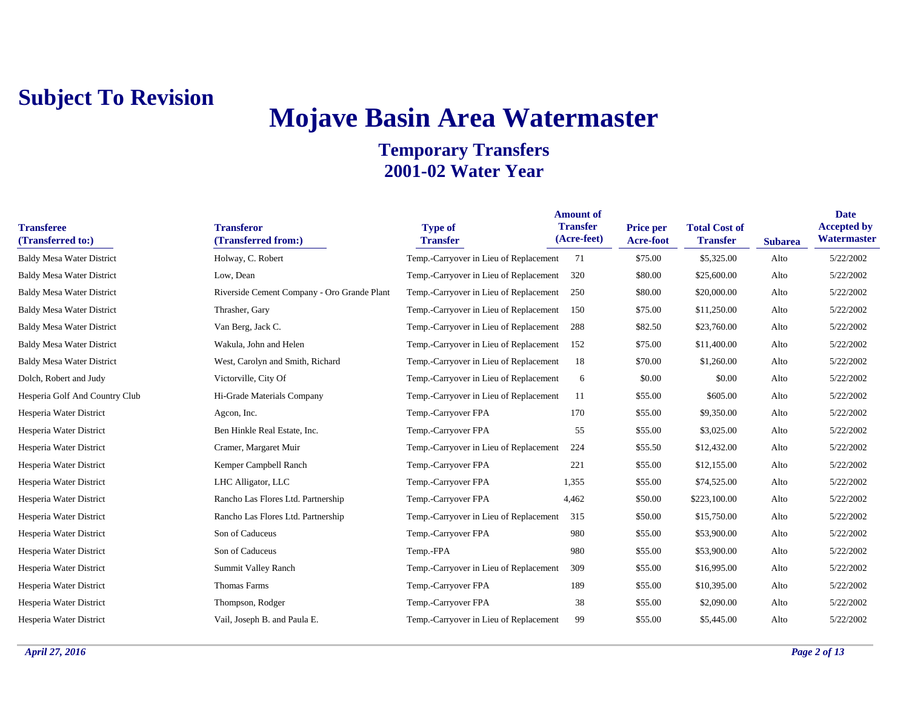# **Mojave Basin Area Watermaster**

| <b>Transferee</b><br>(Transferred to:) | <b>Transferor</b><br>(Transferred from:)    | <b>Type of</b><br><b>Transfer</b>      | <b>Amount of</b><br><b>Transfer</b><br>(Acre-feet) | Price per<br><b>Acre-foot</b> | <b>Total Cost of</b><br><b>Transfer</b> | <b>Subarea</b> | <b>Date</b><br><b>Accepted by</b><br>Watermaster |
|----------------------------------------|---------------------------------------------|----------------------------------------|----------------------------------------------------|-------------------------------|-----------------------------------------|----------------|--------------------------------------------------|
| <b>Baldy Mesa Water District</b>       | Holway, C. Robert                           | Temp.-Carryover in Lieu of Replacement | 71                                                 | \$75.00                       | \$5,325.00                              | Alto           | 5/22/2002                                        |
| <b>Baldy Mesa Water District</b>       | Low, Dean                                   | Temp.-Carryover in Lieu of Replacement | 320                                                | \$80.00                       | \$25,600.00                             | Alto           | 5/22/2002                                        |
| <b>Baldy Mesa Water District</b>       | Riverside Cement Company - Oro Grande Plant | Temp.-Carryover in Lieu of Replacement | 250                                                | \$80.00                       | \$20,000.00                             | Alto           | 5/22/2002                                        |
| <b>Baldy Mesa Water District</b>       | Thrasher, Gary                              | Temp.-Carryover in Lieu of Replacement | 150                                                | \$75.00                       | \$11,250.00                             | Alto           | 5/22/2002                                        |
| <b>Baldy Mesa Water District</b>       | Van Berg, Jack C.                           | Temp.-Carryover in Lieu of Replacement | 288                                                | \$82.50                       | \$23,760.00                             | Alto           | 5/22/2002                                        |
| <b>Baldy Mesa Water District</b>       | Wakula, John and Helen                      | Temp.-Carryover in Lieu of Replacement | 152                                                | \$75.00                       | \$11,400.00                             | Alto           | 5/22/2002                                        |
| <b>Baldy Mesa Water District</b>       | West, Carolyn and Smith, Richard            | Temp.-Carryover in Lieu of Replacement | 18                                                 | \$70.00                       | \$1,260.00                              | Alto           | 5/22/2002                                        |
| Dolch, Robert and Judy                 | Victorville, City Of                        | Temp.-Carryover in Lieu of Replacement | 6                                                  | \$0.00                        | \$0.00                                  | Alto           | 5/22/2002                                        |
| Hesperia Golf And Country Club         | Hi-Grade Materials Company                  | Temp.-Carryover in Lieu of Replacement | 11                                                 | \$55.00                       | \$605.00                                | Alto           | 5/22/2002                                        |
| Hesperia Water District                | Agcon, Inc.                                 | Temp.-Carryover FPA                    | 170                                                | \$55.00                       | \$9,350.00                              | Alto           | 5/22/2002                                        |
| Hesperia Water District                | Ben Hinkle Real Estate, Inc.                | Temp.-Carryover FPA                    | 55                                                 | \$55.00                       | \$3,025.00                              | Alto           | 5/22/2002                                        |
| Hesperia Water District                | Cramer, Margaret Muir                       | Temp.-Carryover in Lieu of Replacement | 224                                                | \$55.50                       | \$12,432.00                             | Alto           | 5/22/2002                                        |
| Hesperia Water District                | Kemper Campbell Ranch                       | Temp.-Carryover FPA                    | 221                                                | \$55.00                       | \$12,155.00                             | Alto           | 5/22/2002                                        |
| Hesperia Water District                | LHC Alligator, LLC                          | Temp.-Carryover FPA                    | 1,355                                              | \$55.00                       | \$74,525.00                             | Alto           | 5/22/2002                                        |
| Hesperia Water District                | Rancho Las Flores Ltd. Partnership          | Temp.-Carryover FPA                    | 4,462                                              | \$50.00                       | \$223,100.00                            | Alto           | 5/22/2002                                        |
| Hesperia Water District                | Rancho Las Flores Ltd. Partnership          | Temp.-Carryover in Lieu of Replacement | 315                                                | \$50.00                       | \$15,750.00                             | Alto           | 5/22/2002                                        |
| Hesperia Water District                | Son of Caduceus                             | Temp.-Carryover FPA                    | 980                                                | \$55.00                       | \$53,900.00                             | Alto           | 5/22/2002                                        |
| Hesperia Water District                | Son of Caduceus                             | Temp.-FPA                              | 980                                                | \$55.00                       | \$53,900.00                             | Alto           | 5/22/2002                                        |
| Hesperia Water District                | Summit Valley Ranch                         | Temp.-Carryover in Lieu of Replacement | 309                                                | \$55.00                       | \$16,995.00                             | Alto           | 5/22/2002                                        |
| Hesperia Water District                | <b>Thomas Farms</b>                         | Temp.-Carryover FPA                    | 189                                                | \$55.00                       | \$10,395.00                             | Alto           | 5/22/2002                                        |
| Hesperia Water District                | Thompson, Rodger                            | Temp.-Carryover FPA                    | 38                                                 | \$55.00                       | \$2,090.00                              | Alto           | 5/22/2002                                        |
| Hesperia Water District                | Vail, Joseph B. and Paula E.                | Temp.-Carryover in Lieu of Replacement | 99                                                 | \$55.00                       | \$5,445.00                              | Alto           | 5/22/2002                                        |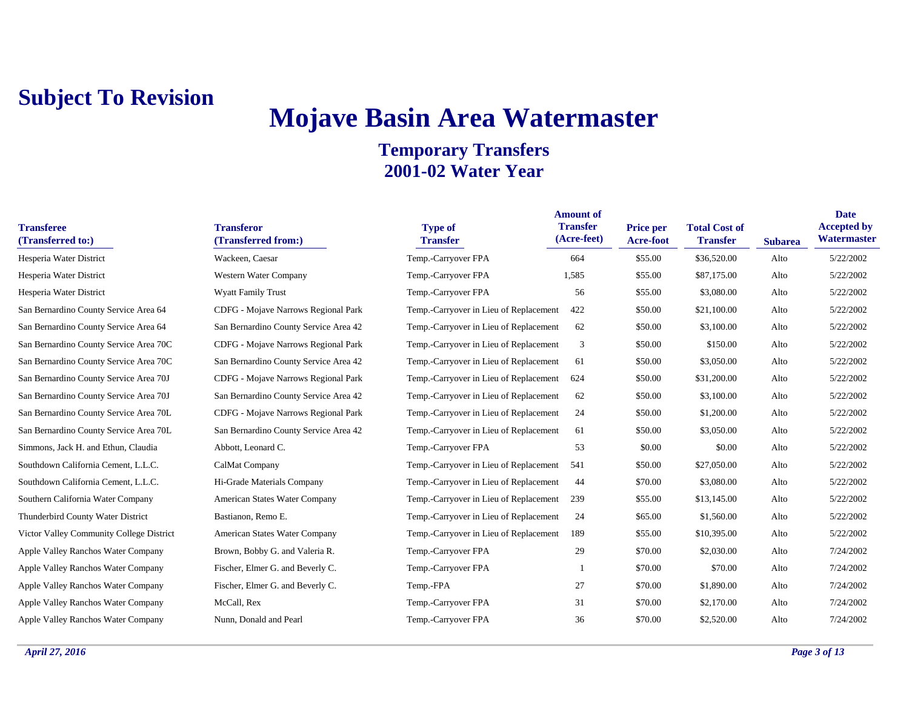# **Mojave Basin Area Watermaster**

| <b>Transferee</b><br>(Transferred to:)   | <b>Transferor</b><br>(Transferred from:) | <b>Type of</b><br><b>Transfer</b>      | <b>Amount of</b><br><b>Transfer</b><br>(Acre-feet) | <b>Price per</b><br><b>Acre-foot</b> | <b>Total Cost of</b><br><b>Transfer</b> | <b>Subarea</b> | <b>Date</b><br><b>Accepted by</b><br>Watermaster |
|------------------------------------------|------------------------------------------|----------------------------------------|----------------------------------------------------|--------------------------------------|-----------------------------------------|----------------|--------------------------------------------------|
| Hesperia Water District                  | Wackeen, Caesar                          | Temp.-Carryover FPA                    | 664                                                | \$55.00                              | \$36,520.00                             | Alto           | 5/22/2002                                        |
| Hesperia Water District                  | Western Water Company                    | Temp.-Carryover FPA                    | 1,585                                              | \$55.00                              | \$87,175.00                             | Alto           | 5/22/2002                                        |
| Hesperia Water District                  | Wyatt Family Trust                       | Temp.-Carryover FPA                    | 56                                                 | \$55.00                              | \$3,080.00                              | Alto           | 5/22/2002                                        |
| San Bernardino County Service Area 64    | CDFG - Mojave Narrows Regional Park      | Temp.-Carryover in Lieu of Replacement | 422                                                | \$50.00                              | \$21,100.00                             | Alto           | 5/22/2002                                        |
| San Bernardino County Service Area 64    | San Bernardino County Service Area 42    | Temp.-Carryover in Lieu of Replacement | 62                                                 | \$50.00                              | \$3,100.00                              | Alto           | 5/22/2002                                        |
| San Bernardino County Service Area 70C   | CDFG - Mojave Narrows Regional Park      | Temp.-Carryover in Lieu of Replacement | 3                                                  | \$50.00                              | \$150.00                                | Alto           | 5/22/2002                                        |
| San Bernardino County Service Area 70C   | San Bernardino County Service Area 42    | Temp.-Carryover in Lieu of Replacement | 61                                                 | \$50.00                              | \$3,050.00                              | Alto           | 5/22/2002                                        |
| San Bernardino County Service Area 70J   | CDFG - Mojave Narrows Regional Park      | Temp.-Carryover in Lieu of Replacement | 624                                                | \$50.00                              | \$31,200.00                             | Alto           | 5/22/2002                                        |
| San Bernardino County Service Area 70J   | San Bernardino County Service Area 42    | Temp.-Carryover in Lieu of Replacement | 62                                                 | \$50.00                              | \$3,100.00                              | Alto           | 5/22/2002                                        |
| San Bernardino County Service Area 70L   | CDFG - Mojave Narrows Regional Park      | Temp.-Carryover in Lieu of Replacement | 24                                                 | \$50.00                              | \$1,200.00                              | Alto           | 5/22/2002                                        |
| San Bernardino County Service Area 70L   | San Bernardino County Service Area 42    | Temp.-Carryover in Lieu of Replacement | 61                                                 | \$50.00                              | \$3,050.00                              | Alto           | 5/22/2002                                        |
| Simmons, Jack H. and Ethun, Claudia      | Abbott, Leonard C.                       | Temp.-Carryover FPA                    | 53                                                 | \$0.00                               | \$0.00                                  | Alto           | 5/22/2002                                        |
| Southdown California Cement, L.L.C.      | CalMat Company                           | Temp.-Carryover in Lieu of Replacement | 541                                                | \$50.00                              | \$27,050.00                             | Alto           | 5/22/2002                                        |
| Southdown California Cement, L.L.C.      | Hi-Grade Materials Company               | Temp.-Carryover in Lieu of Replacement | 44                                                 | \$70.00                              | \$3,080.00                              | Alto           | 5/22/2002                                        |
| Southern California Water Company        | American States Water Company            | Temp.-Carryover in Lieu of Replacement | 239                                                | \$55.00                              | \$13,145.00                             | Alto           | 5/22/2002                                        |
| Thunderbird County Water District        | Bastianon, Remo E.                       | Temp.-Carryover in Lieu of Replacement | 24                                                 | \$65.00                              | \$1,560.00                              | Alto           | 5/22/2002                                        |
| Victor Valley Community College District | American States Water Company            | Temp.-Carryover in Lieu of Replacement | 189                                                | \$55.00                              | \$10,395.00                             | Alto           | 5/22/2002                                        |
| Apple Valley Ranchos Water Company       | Brown, Bobby G. and Valeria R.           | Temp.-Carryover FPA                    | 29                                                 | \$70.00                              | \$2,030.00                              | Alto           | 7/24/2002                                        |
| Apple Valley Ranchos Water Company       | Fischer, Elmer G. and Beverly C.         | Temp.-Carryover FPA                    | -1                                                 | \$70.00                              | \$70.00                                 | Alto           | 7/24/2002                                        |
| Apple Valley Ranchos Water Company       | Fischer, Elmer G. and Beverly C.         | Temp.-FPA                              | 27                                                 | \$70.00                              | \$1,890.00                              | Alto           | 7/24/2002                                        |
| Apple Valley Ranchos Water Company       | McCall, Rex                              | Temp.-Carryover FPA                    | 31                                                 | \$70.00                              | \$2,170.00                              | Alto           | 7/24/2002                                        |
| Apple Valley Ranchos Water Company       | Nunn, Donald and Pearl                   | Temp.-Carryover FPA                    | 36                                                 | \$70.00                              | \$2,520.00                              | Alto           | 7/24/2002                                        |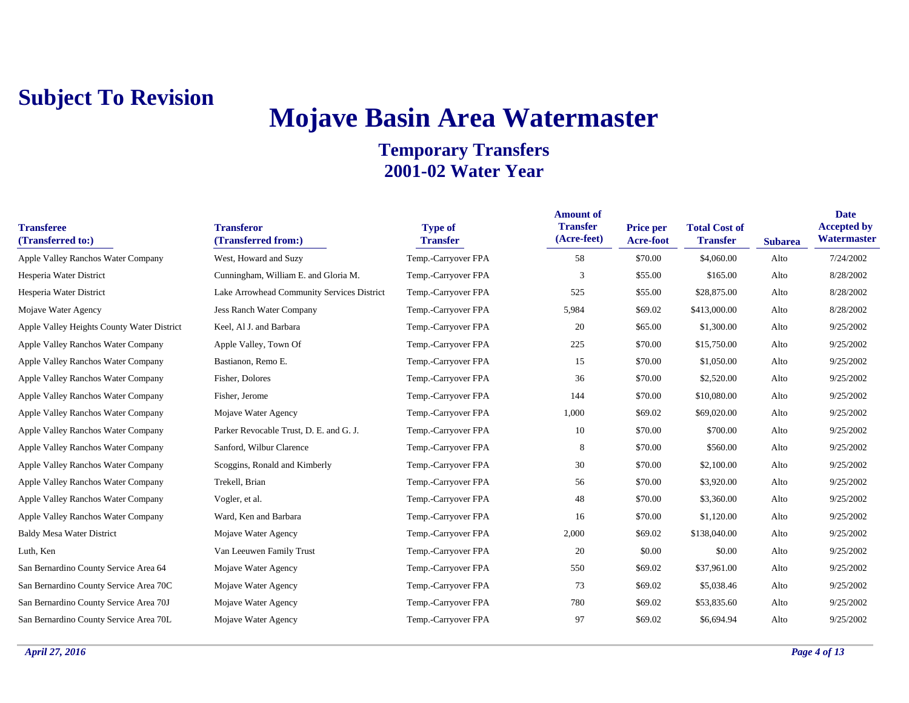# **Mojave Basin Area Watermaster**

| <b>Transferee</b><br>(Transferred to:)     | <b>Transferor</b><br>(Transferred from:)   | <b>Type of</b><br><b>Transfer</b> | <b>Amount of</b><br><b>Transfer</b><br>(Acre-feet) | <b>Price per</b><br>Acre-foot | <b>Total Cost of</b><br><b>Transfer</b> | <b>Subarea</b> | <b>Date</b><br><b>Accepted by</b><br>Watermaster |
|--------------------------------------------|--------------------------------------------|-----------------------------------|----------------------------------------------------|-------------------------------|-----------------------------------------|----------------|--------------------------------------------------|
| Apple Valley Ranchos Water Company         | West, Howard and Suzy                      | Temp.-Carryover FPA               | 58                                                 | \$70.00                       | \$4,060.00                              | Alto           | 7/24/2002                                        |
| Hesperia Water District                    | Cunningham, William E. and Gloria M.       | Temp.-Carryover FPA               | 3                                                  | \$55.00                       | \$165.00                                | Alto           | 8/28/2002                                        |
| Hesperia Water District                    | Lake Arrowhead Community Services District | Temp.-Carryover FPA               | 525                                                | \$55.00                       | \$28,875.00                             | Alto           | 8/28/2002                                        |
| Mojave Water Agency                        | Jess Ranch Water Company                   | Temp.-Carryover FPA               | 5,984                                              | \$69.02                       | \$413,000.00                            | Alto           | 8/28/2002                                        |
| Apple Valley Heights County Water District | Keel, Al J. and Barbara                    | Temp.-Carryover FPA               | 20                                                 | \$65.00                       | \$1,300.00                              | Alto           | 9/25/2002                                        |
| Apple Valley Ranchos Water Company         | Apple Valley, Town Of                      | Temp.-Carryover FPA               | 225                                                | \$70.00                       | \$15,750.00                             | Alto           | 9/25/2002                                        |
| Apple Valley Ranchos Water Company         | Bastianon, Remo E.                         | Temp.-Carryover FPA               | 15                                                 | \$70.00                       | \$1,050.00                              | Alto           | 9/25/2002                                        |
| Apple Valley Ranchos Water Company         | Fisher, Dolores                            | Temp.-Carryover FPA               | 36                                                 | \$70.00                       | \$2,520.00                              | Alto           | 9/25/2002                                        |
| Apple Valley Ranchos Water Company         | Fisher, Jerome                             | Temp.-Carryover FPA               | 144                                                | \$70.00                       | \$10,080.00                             | Alto           | 9/25/2002                                        |
| Apple Valley Ranchos Water Company         | Mojave Water Agency                        | Temp.-Carryover FPA               | 1,000                                              | \$69.02                       | \$69,020.00                             | Alto           | 9/25/2002                                        |
| Apple Valley Ranchos Water Company         | Parker Revocable Trust, D. E. and G. J.    | Temp.-Carryover FPA               | 10                                                 | \$70.00                       | \$700.00                                | Alto           | 9/25/2002                                        |
| Apple Valley Ranchos Water Company         | Sanford, Wilbur Clarence                   | Temp.-Carryover FPA               | 8                                                  | \$70.00                       | \$560.00                                | Alto           | 9/25/2002                                        |
| Apple Valley Ranchos Water Company         | Scoggins, Ronald and Kimberly              | Temp.-Carryover FPA               | 30                                                 | \$70.00                       | \$2,100.00                              | Alto           | 9/25/2002                                        |
| Apple Valley Ranchos Water Company         | Trekell, Brian                             | Temp.-Carryover FPA               | 56                                                 | \$70.00                       | \$3,920.00                              | Alto           | 9/25/2002                                        |
| Apple Valley Ranchos Water Company         | Vogler, et al.                             | Temp.-Carryover FPA               | 48                                                 | \$70.00                       | \$3,360.00                              | Alto           | 9/25/2002                                        |
| Apple Valley Ranchos Water Company         | Ward, Ken and Barbara                      | Temp.-Carryover FPA               | 16                                                 | \$70.00                       | \$1,120.00                              | Alto           | 9/25/2002                                        |
| <b>Baldy Mesa Water District</b>           | Mojave Water Agency                        | Temp.-Carryover FPA               | 2,000                                              | \$69.02                       | \$138,040.00                            | Alto           | 9/25/2002                                        |
| Luth, Ken                                  | Van Leeuwen Family Trust                   | Temp.-Carryover FPA               | 20                                                 | \$0.00                        | \$0.00                                  | Alto           | 9/25/2002                                        |
| San Bernardino County Service Area 64      | Mojave Water Agency                        | Temp.-Carryover FPA               | 550                                                | \$69.02                       | \$37,961.00                             | Alto           | 9/25/2002                                        |
| San Bernardino County Service Area 70C     | Mojave Water Agency                        | Temp.-Carryover FPA               | 73                                                 | \$69.02                       | \$5,038.46                              | Alto           | 9/25/2002                                        |
| San Bernardino County Service Area 70J     | Mojave Water Agency                        | Temp.-Carryover FPA               | 780                                                | \$69.02                       | \$53,835.60                             | Alto           | 9/25/2002                                        |
| San Bernardino County Service Area 70L     | Mojave Water Agency                        | Temp.-Carryover FPA               | 97                                                 | \$69.02                       | \$6,694.94                              | Alto           | 9/25/2002                                        |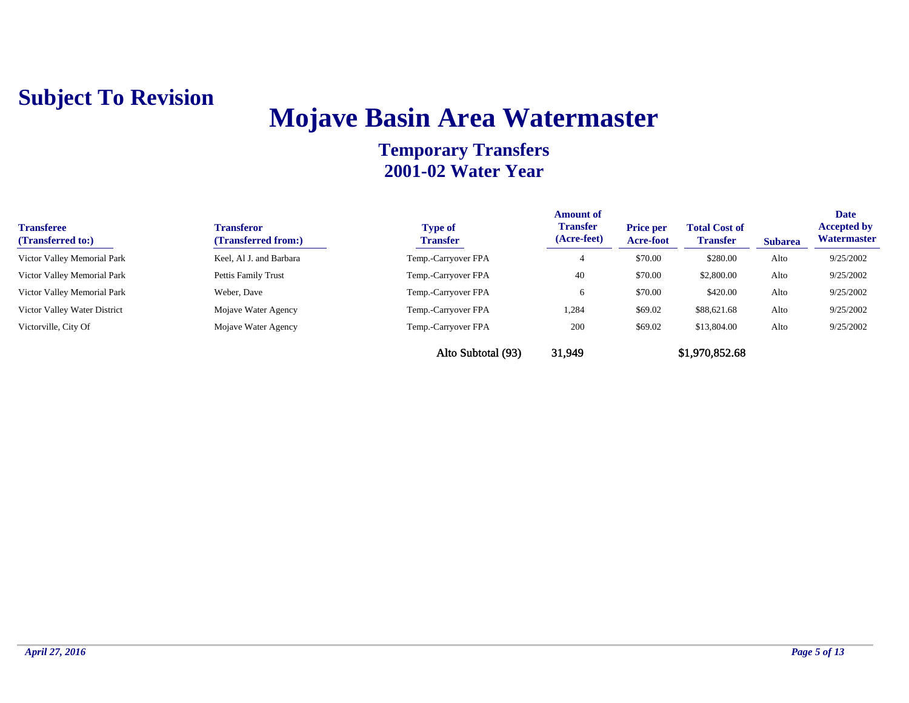## **Mojave Basin Area Watermaster**

| <b>Transferee</b><br>(Transferred to:) | <b>Transferor</b><br>(Transferred from:) | <b>Type of</b><br><b>Transfer</b> | <b>Amount of</b><br><b>Transfer</b><br>(Acre-feet) | <b>Price per</b><br>Acre-foot | <b>Total Cost of</b><br><b>Transfer</b> | <b>Subarea</b> | <b>Date</b><br><b>Accepted by</b><br>Watermaster |
|----------------------------------------|------------------------------------------|-----------------------------------|----------------------------------------------------|-------------------------------|-----------------------------------------|----------------|--------------------------------------------------|
| Victor Valley Memorial Park            | Keel, Al J. and Barbara                  | Temp.-Carryover FPA               |                                                    | \$70.00                       | \$280.00                                | Alto           | 9/25/2002                                        |
| Victor Valley Memorial Park            | Pettis Family Trust                      | Temp.-Carryover FPA               | 40                                                 | \$70.00                       | \$2,800.00                              | Alto           | 9/25/2002                                        |
| Victor Valley Memorial Park            | Weber, Dave                              | Temp.-Carryover FPA               | 6                                                  | \$70.00                       | \$420.00                                | Alto           | 9/25/2002                                        |
| Victor Valley Water District           | Mojave Water Agency                      | Temp.-Carryover FPA               | 1,284                                              | \$69.02                       | \$88,621.68                             | Alto           | 9/25/2002                                        |
| Victorville, City Of                   | Mojave Water Agency                      | Temp.-Carryover FPA               | 200                                                | \$69.02                       | \$13,804.00                             | Alto           | 9/25/2002                                        |
|                                        |                                          | Alto Subtotal (93)                | 31,949                                             |                               | \$1,970,852.68                          |                |                                                  |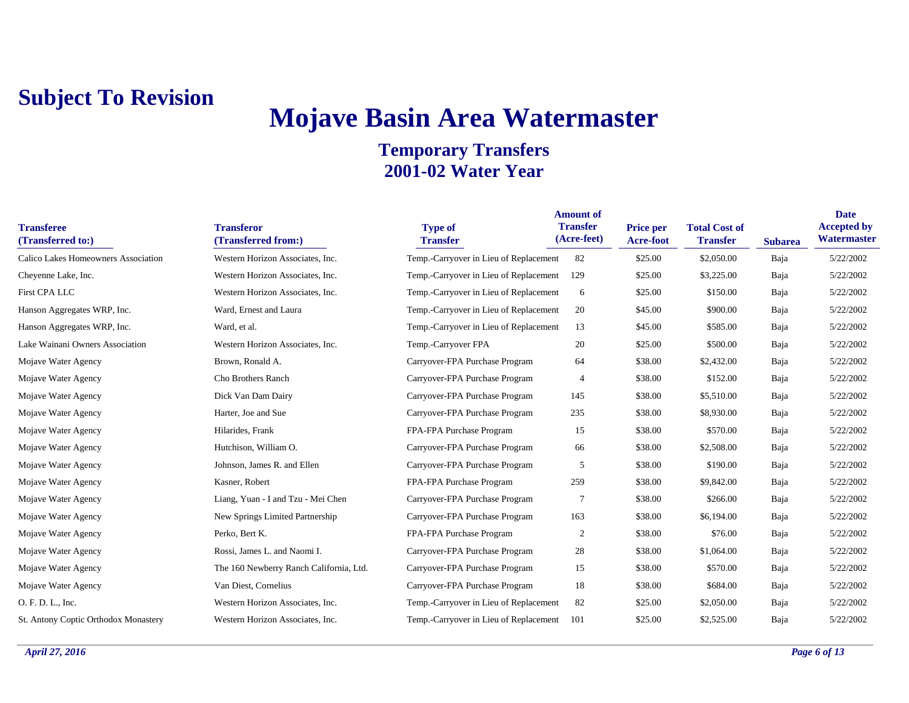## **Mojave Basin Area Watermaster**

| <b>Transferee</b><br>(Transferred to:) | <b>Transferor</b><br>(Transferred from:) | <b>Type of</b><br><b>Transfer</b>      | <b>Amount of</b><br><b>Transfer</b><br>(Acre-feet) | Price per<br>Acre-foot | <b>Total Cost of</b><br><b>Transfer</b> | <b>Subarea</b> | <b>Date</b><br><b>Accepted by</b><br>Watermaster |
|----------------------------------------|------------------------------------------|----------------------------------------|----------------------------------------------------|------------------------|-----------------------------------------|----------------|--------------------------------------------------|
| Calico Lakes Homeowners Association    | Western Horizon Associates, Inc.         | Temp.-Carryover in Lieu of Replacement | 82                                                 | \$25.00                | \$2,050.00                              | Baja           | 5/22/2002                                        |
| Cheyenne Lake, Inc.                    | Western Horizon Associates, Inc.         | Temp.-Carryover in Lieu of Replacement | 129                                                | \$25.00                | \$3,225.00                              | Baja           | 5/22/2002                                        |
| First CPA LLC                          | Western Horizon Associates, Inc.         | Temp.-Carryover in Lieu of Replacement | 6                                                  | \$25.00                | \$150.00                                | Baja           | 5/22/2002                                        |
| Hanson Aggregates WRP, Inc.            | Ward, Ernest and Laura                   | Temp.-Carryover in Lieu of Replacement | 20                                                 | \$45.00                | \$900.00                                | Baja           | 5/22/2002                                        |
| Hanson Aggregates WRP, Inc.            | Ward, et al.                             | Temp.-Carryover in Lieu of Replacement | 13                                                 | \$45.00                | \$585.00                                | Baja           | 5/22/2002                                        |
| Lake Wainani Owners Association        | Western Horizon Associates, Inc.         | Temp.-Carryover FPA                    | 20                                                 | \$25.00                | \$500.00                                | Baja           | 5/22/2002                                        |
| Mojave Water Agency                    | Brown, Ronald A.                         | Carryover-FPA Purchase Program         | 64                                                 | \$38.00                | \$2,432.00                              | Baja           | 5/22/2002                                        |
| Mojave Water Agency                    | Cho Brothers Ranch                       | Carryover-FPA Purchase Program         | $\overline{4}$                                     | \$38.00                | \$152.00                                | Baja           | 5/22/2002                                        |
| Mojave Water Agency                    | Dick Van Dam Dairy                       | Carryover-FPA Purchase Program         | 145                                                | \$38.00                | \$5,510.00                              | Baja           | 5/22/2002                                        |
| Mojave Water Agency                    | Harter, Joe and Sue                      | Carryover-FPA Purchase Program         | 235                                                | \$38.00                | \$8,930.00                              | Baja           | 5/22/2002                                        |
| Mojave Water Agency                    | Hilarides, Frank                         | FPA-FPA Purchase Program               | 15                                                 | \$38.00                | \$570.00                                | Baja           | 5/22/2002                                        |
| Mojave Water Agency                    | Hutchison, William O.                    | Carryover-FPA Purchase Program         | 66                                                 | \$38.00                | \$2,508.00                              | Baja           | 5/22/2002                                        |
| Mojave Water Agency                    | Johnson, James R. and Ellen              | Carryover-FPA Purchase Program         | 5                                                  | \$38.00                | \$190.00                                | Baja           | 5/22/2002                                        |
| Mojave Water Agency                    | Kasner, Robert                           | FPA-FPA Purchase Program               | 259                                                | \$38.00                | \$9,842.00                              | Baja           | 5/22/2002                                        |
| Mojave Water Agency                    | Liang, Yuan - I and Tzu - Mei Chen       | Carryover-FPA Purchase Program         | $\overline{7}$                                     | \$38.00                | \$266.00                                | Baja           | 5/22/2002                                        |
| Mojave Water Agency                    | New Springs Limited Partnership          | Carryover-FPA Purchase Program         | 163                                                | \$38.00                | \$6,194.00                              | Baja           | 5/22/2002                                        |
| Mojave Water Agency                    | Perko, Bert K.                           | FPA-FPA Purchase Program               | 2                                                  | \$38.00                | \$76.00                                 | Baja           | 5/22/2002                                        |
| Mojave Water Agency                    | Rossi, James L. and Naomi I.             | Carryover-FPA Purchase Program         | 28                                                 | \$38.00                | \$1,064.00                              | Baja           | 5/22/2002                                        |
| Mojave Water Agency                    | The 160 Newberry Ranch California, Ltd.  | Carryover-FPA Purchase Program         | 15                                                 | \$38.00                | \$570.00                                | Baja           | 5/22/2002                                        |
| Mojave Water Agency                    | Van Diest, Cornelius                     | Carryover-FPA Purchase Program         | 18                                                 | \$38.00                | \$684.00                                | Baja           | 5/22/2002                                        |
| O. F. D. L., Inc.                      | Western Horizon Associates, Inc.         | Temp.-Carryover in Lieu of Replacement | 82                                                 | \$25.00                | \$2,050.00                              | Baja           | 5/22/2002                                        |
| St. Antony Coptic Orthodox Monastery   | Western Horizon Associates, Inc.         | Temp.-Carryover in Lieu of Replacement | 101                                                | \$25.00                | \$2,525.00                              | Baja           | 5/22/2002                                        |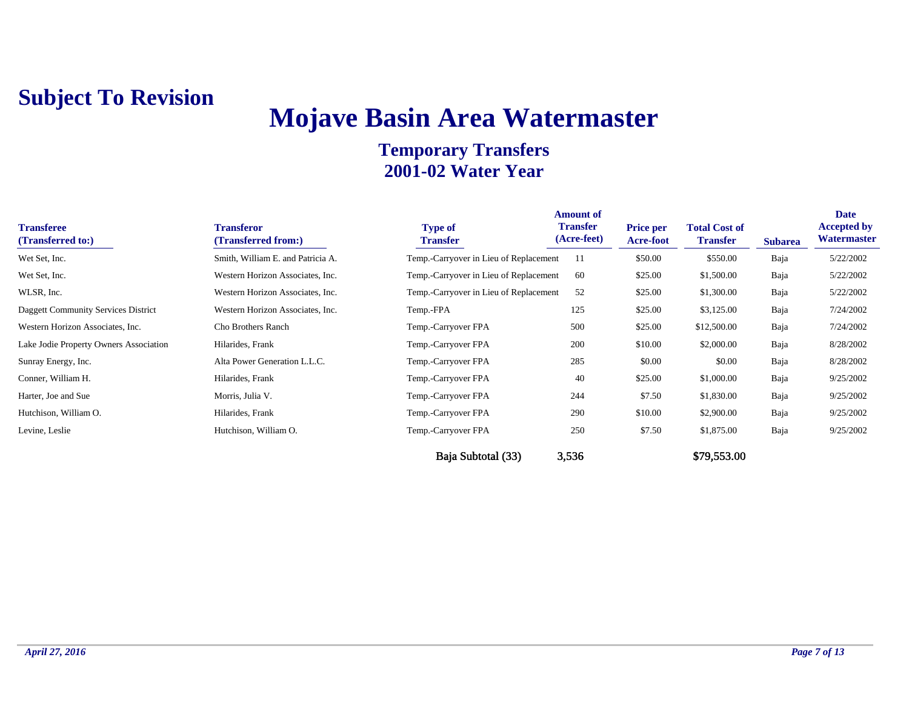## **Mojave Basin Area Watermaster**

| <b>Transferee</b><br>(Transferred to:) | <b>Transferor</b><br>(Transferred from:) | <b>Type of</b><br><b>Transfer</b>      | <b>Amount of</b><br><b>Transfer</b><br>(Acre-feet) | <b>Price per</b><br>Acre-foot | <b>Total Cost of</b><br><b>Transfer</b> | <b>Subarea</b> | Date<br><b>Accepted by</b><br>Watermaster |
|----------------------------------------|------------------------------------------|----------------------------------------|----------------------------------------------------|-------------------------------|-----------------------------------------|----------------|-------------------------------------------|
| Wet Set, Inc.                          | Smith, William E. and Patricia A.        | Temp.-Carryover in Lieu of Replacement | -11                                                | \$50.00                       | \$550.00                                | Baja           | 5/22/2002                                 |
| Wet Set, Inc.                          | Western Horizon Associates, Inc.         | Temp.-Carryover in Lieu of Replacement | -60                                                | \$25.00                       | \$1,500.00                              | Baja           | 5/22/2002                                 |
| WLSR, Inc.                             | Western Horizon Associates, Inc.         | Temp.-Carryover in Lieu of Replacement | 52                                                 | \$25.00                       | \$1,300.00                              | Baja           | 5/22/2002                                 |
| Daggett Community Services District    | Western Horizon Associates, Inc.         | Temp.-FPA                              | 125                                                | \$25.00                       | \$3,125.00                              | Baja           | 7/24/2002                                 |
| Western Horizon Associates, Inc.       | Cho Brothers Ranch                       | Temp.-Carryover FPA                    | 500                                                | \$25.00                       | \$12,500.00                             | Baja           | 7/24/2002                                 |
| Lake Jodie Property Owners Association | Hilarides, Frank                         | Temp.-Carryover FPA                    | 200                                                | \$10.00                       | \$2,000.00                              | Baja           | 8/28/2002                                 |
| Sunray Energy, Inc.                    | Alta Power Generation L.L.C.             | Temp.-Carryover FPA                    | 285                                                | \$0.00                        | \$0.00                                  | Baja           | 8/28/2002                                 |
| Conner, William H.                     | Hilarides, Frank                         | Temp.-Carryover FPA                    | 40                                                 | \$25.00                       | \$1,000.00                              | Baja           | 9/25/2002                                 |
| Harter, Joe and Sue                    | Morris, Julia V.                         | Temp.-Carryover FPA                    | 244                                                | \$7.50                        | \$1,830.00                              | Baja           | 9/25/2002                                 |
| Hutchison, William O.                  | Hilarides, Frank                         | Temp.-Carryover FPA                    | 290                                                | \$10.00                       | \$2,900.00                              | Baja           | 9/25/2002                                 |
| Levine, Leslie                         | Hutchison, William O.                    | Temp.-Carryover FPA                    | 250                                                | \$7.50                        | \$1,875.00                              | Baja           | 9/25/2002                                 |
|                                        |                                          | Baja Subtotal (33)                     | 3,536                                              |                               | \$79,553.00                             |                |                                           |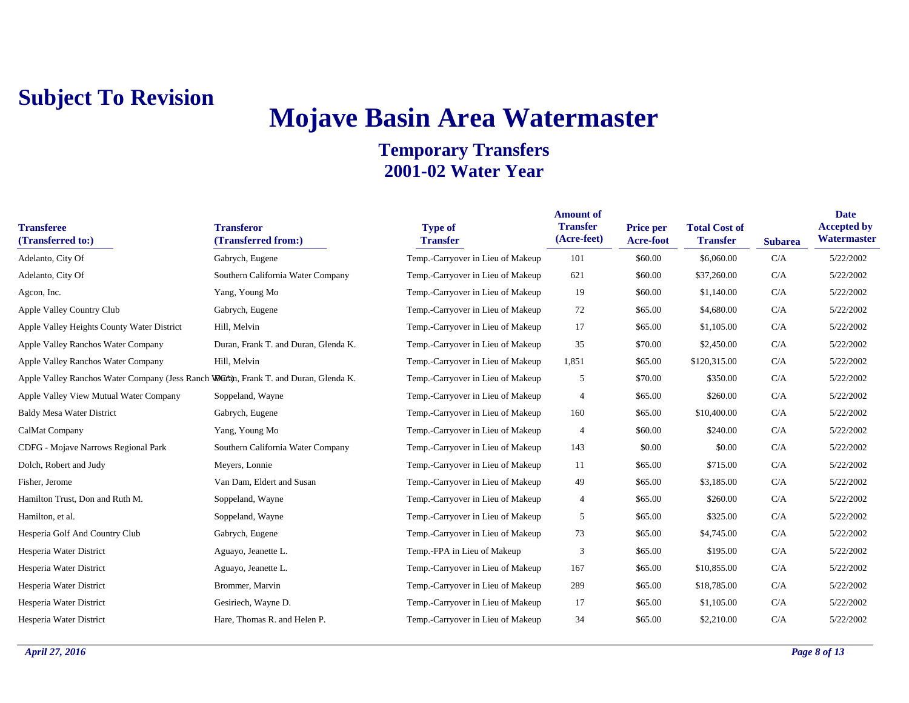## **Mojave Basin Area Watermaster**

| <b>Transferee</b><br>(Transferred to:)                                              | <b>Transferor</b><br>(Transferred from:) | <b>Type of</b><br><b>Transfer</b> | <b>Amount of</b><br><b>Transfer</b><br>(Acre-feet) | <b>Price per</b><br><b>Acre-foot</b> | <b>Total Cost of</b><br><b>Transfer</b> | <b>Subarea</b> | <b>Date</b><br><b>Accepted by</b><br>Watermaster |
|-------------------------------------------------------------------------------------|------------------------------------------|-----------------------------------|----------------------------------------------------|--------------------------------------|-----------------------------------------|----------------|--------------------------------------------------|
| Adelanto, City Of                                                                   | Gabrych, Eugene                          | Temp.-Carryover in Lieu of Makeup | 101                                                | \$60.00                              | \$6,060.00                              | C/A            | 5/22/2002                                        |
| Adelanto, City Of                                                                   | Southern California Water Company        | Temp.-Carryover in Lieu of Makeup | 621                                                | \$60.00                              | \$37,260.00                             | C/A            | 5/22/2002                                        |
| Agcon, Inc.                                                                         | Yang, Young Mo                           | Temp.-Carryover in Lieu of Makeup | 19                                                 | \$60.00                              | \$1,140.00                              | C/A            | 5/22/2002                                        |
| Apple Valley Country Club                                                           | Gabrych, Eugene                          | Temp.-Carryover in Lieu of Makeup | 72                                                 | \$65.00                              | \$4,680.00                              | C/A            | 5/22/2002                                        |
| Apple Valley Heights County Water District                                          | Hill, Melvin                             | Temp.-Carryover in Lieu of Makeup | 17                                                 | \$65.00                              | \$1,105.00                              | C/A            | 5/22/2002                                        |
| Apple Valley Ranchos Water Company                                                  | Duran, Frank T. and Duran, Glenda K.     | Temp.-Carryover in Lieu of Makeup | 35                                                 | \$70.00                              | \$2,450.00                              | C/A            | 5/22/2002                                        |
| Apple Valley Ranchos Water Company                                                  | Hill, Melvin                             | Temp.-Carryover in Lieu of Makeup | 1,851                                              | \$65.00                              | \$120,315.00                            | C/A            | 5/22/2002                                        |
| Apple Valley Ranchos Water Company (Jess Ranch Wuran, Frank T. and Duran, Glenda K. |                                          | Temp.-Carryover in Lieu of Makeup | 5                                                  | \$70.00                              | \$350.00                                | C/A            | 5/22/2002                                        |
| Apple Valley View Mutual Water Company                                              | Soppeland, Wayne                         | Temp.-Carryover in Lieu of Makeup | $\overline{4}$                                     | \$65.00                              | \$260.00                                | C/A            | 5/22/2002                                        |
| <b>Baldy Mesa Water District</b>                                                    | Gabrych, Eugene                          | Temp.-Carryover in Lieu of Makeup | 160                                                | \$65.00                              | \$10,400.00                             | C/A            | 5/22/2002                                        |
| CalMat Company                                                                      | Yang, Young Mo                           | Temp.-Carryover in Lieu of Makeup | $\overline{4}$                                     | \$60.00                              | \$240.00                                | C/A            | 5/22/2002                                        |
| CDFG - Mojave Narrows Regional Park                                                 | Southern California Water Company        | Temp.-Carryover in Lieu of Makeup | 143                                                | \$0.00                               | \$0.00                                  | C/A            | 5/22/2002                                        |
| Dolch, Robert and Judy                                                              | Meyers, Lonnie                           | Temp.-Carryover in Lieu of Makeup | 11                                                 | \$65.00                              | \$715.00                                | C/A            | 5/22/2002                                        |
| Fisher, Jerome                                                                      | Van Dam, Eldert and Susan                | Temp.-Carryover in Lieu of Makeup | 49                                                 | \$65.00                              | \$3,185.00                              | C/A            | 5/22/2002                                        |
| Hamilton Trust, Don and Ruth M.                                                     | Soppeland, Wayne                         | Temp.-Carryover in Lieu of Makeup | $\overline{4}$                                     | \$65.00                              | \$260.00                                | C/A            | 5/22/2002                                        |
| Hamilton, et al.                                                                    | Soppeland, Wayne                         | Temp.-Carryover in Lieu of Makeup | 5                                                  | \$65.00                              | \$325.00                                | C/A            | 5/22/2002                                        |
| Hesperia Golf And Country Club                                                      | Gabrych, Eugene                          | Temp.-Carryover in Lieu of Makeup | 73                                                 | \$65.00                              | \$4,745.00                              | C/A            | 5/22/2002                                        |
| Hesperia Water District                                                             | Aguayo, Jeanette L.                      | Temp.-FPA in Lieu of Makeup       | 3                                                  | \$65.00                              | \$195.00                                | C/A            | 5/22/2002                                        |
| Hesperia Water District                                                             | Aguayo, Jeanette L.                      | Temp.-Carryover in Lieu of Makeup | 167                                                | \$65.00                              | \$10,855.00                             | C/A            | 5/22/2002                                        |
| Hesperia Water District                                                             | Brommer, Marvin                          | Temp.-Carryover in Lieu of Makeup | 289                                                | \$65.00                              | \$18,785.00                             | C/A            | 5/22/2002                                        |
| Hesperia Water District                                                             | Gesiriech, Wayne D.                      | Temp.-Carryover in Lieu of Makeup | 17                                                 | \$65.00                              | \$1,105.00                              | C/A            | 5/22/2002                                        |
| Hesperia Water District                                                             | Hare, Thomas R. and Helen P.             | Temp.-Carryover in Lieu of Makeup | 34                                                 | \$65.00                              | \$2,210.00                              | C/A            | 5/22/2002                                        |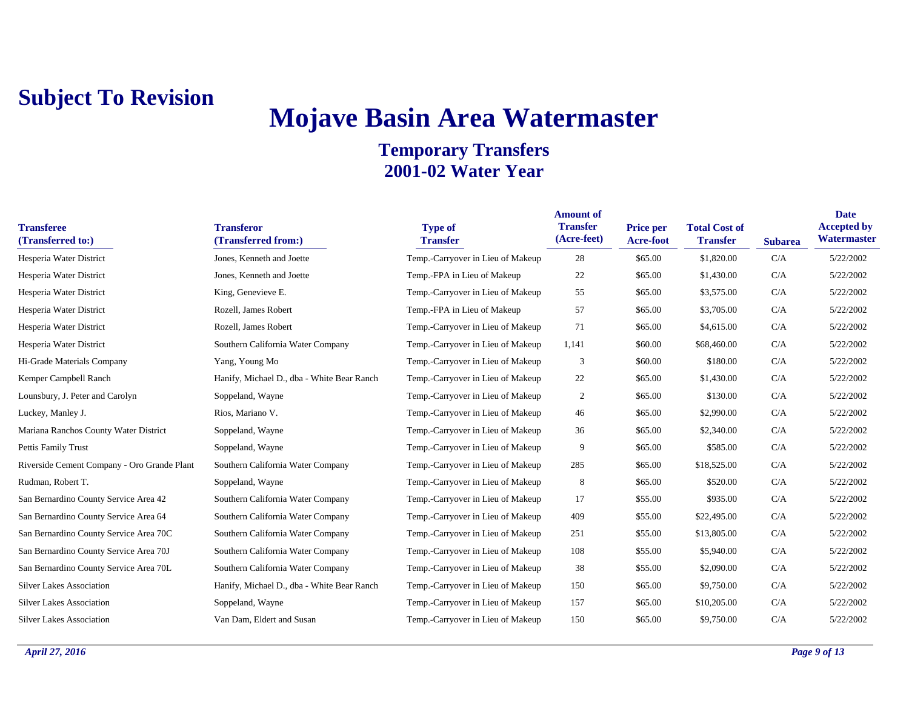## **Mojave Basin Area Watermaster**

| <b>Transferee</b><br>(Transferred to:)      | <b>Transferor</b><br>(Transferred from:)   | <b>Type of</b><br><b>Transfer</b> | <b>Amount of</b><br><b>Transfer</b><br>(Acre-feet) | Price per<br><b>Acre-foot</b> | <b>Total Cost of</b><br><b>Transfer</b> | <b>Subarea</b> | <b>Date</b><br><b>Accepted by</b><br>Watermaster |
|---------------------------------------------|--------------------------------------------|-----------------------------------|----------------------------------------------------|-------------------------------|-----------------------------------------|----------------|--------------------------------------------------|
| Hesperia Water District                     | Jones, Kenneth and Joette                  | Temp.-Carryover in Lieu of Makeup | 28                                                 | \$65.00                       | \$1,820.00                              | C/A            | 5/22/2002                                        |
| Hesperia Water District                     | Jones, Kenneth and Joette                  | Temp.-FPA in Lieu of Makeup       | 22                                                 | \$65.00                       | \$1,430.00                              | C/A            | 5/22/2002                                        |
| Hesperia Water District                     | King, Genevieve E.                         | Temp.-Carryover in Lieu of Makeup | 55                                                 | \$65.00                       | \$3,575.00                              | C/A            | 5/22/2002                                        |
| Hesperia Water District                     | Rozell, James Robert                       | Temp.-FPA in Lieu of Makeup       | 57                                                 | \$65.00                       | \$3,705.00                              | C/A            | 5/22/2002                                        |
| Hesperia Water District                     | Rozell, James Robert                       | Temp.-Carryover in Lieu of Makeup | 71                                                 | \$65.00                       | \$4,615.00                              | C/A            | 5/22/2002                                        |
| Hesperia Water District                     | Southern California Water Company          | Temp.-Carryover in Lieu of Makeup | 1,141                                              | \$60.00                       | \$68,460.00                             | C/A            | 5/22/2002                                        |
| Hi-Grade Materials Company                  | Yang, Young Mo                             | Temp.-Carryover in Lieu of Makeup | 3                                                  | \$60.00                       | \$180.00                                | C/A            | 5/22/2002                                        |
| Kemper Campbell Ranch                       | Hanify, Michael D., dba - White Bear Ranch | Temp.-Carryover in Lieu of Makeup | 22                                                 | \$65.00                       | \$1,430.00                              | C/A            | 5/22/2002                                        |
| Lounsbury, J. Peter and Carolyn             | Soppeland, Wayne                           | Temp.-Carryover in Lieu of Makeup | $\overline{2}$                                     | \$65.00                       | \$130.00                                | C/A            | 5/22/2002                                        |
| Luckey, Manley J.                           | Rios, Mariano V.                           | Temp.-Carryover in Lieu of Makeup | 46                                                 | \$65.00                       | \$2,990.00                              | C/A            | 5/22/2002                                        |
| Mariana Ranchos County Water District       | Soppeland, Wayne                           | Temp.-Carryover in Lieu of Makeup | 36                                                 | \$65.00                       | \$2,340.00                              | C/A            | 5/22/2002                                        |
| Pettis Family Trust                         | Soppeland, Wayne                           | Temp.-Carryover in Lieu of Makeup | 9                                                  | \$65.00                       | \$585.00                                | C/A            | 5/22/2002                                        |
| Riverside Cement Company - Oro Grande Plant | Southern California Water Company          | Temp.-Carryover in Lieu of Makeup | 285                                                | \$65.00                       | \$18,525.00                             | C/A            | 5/22/2002                                        |
| Rudman, Robert T.                           | Soppeland, Wayne                           | Temp.-Carryover in Lieu of Makeup | 8                                                  | \$65.00                       | \$520.00                                | C/A            | 5/22/2002                                        |
| San Bernardino County Service Area 42       | Southern California Water Company          | Temp.-Carryover in Lieu of Makeup | 17                                                 | \$55.00                       | \$935.00                                | C/A            | 5/22/2002                                        |
| San Bernardino County Service Area 64       | Southern California Water Company          | Temp.-Carryover in Lieu of Makeup | 409                                                | \$55.00                       | \$22,495.00                             | C/A            | 5/22/2002                                        |
| San Bernardino County Service Area 70C      | Southern California Water Company          | Temp.-Carryover in Lieu of Makeup | 251                                                | \$55.00                       | \$13,805.00                             | C/A            | 5/22/2002                                        |
| San Bernardino County Service Area 70J      | Southern California Water Company          | Temp.-Carryover in Lieu of Makeup | 108                                                | \$55.00                       | \$5,940.00                              | C/A            | 5/22/2002                                        |
| San Bernardino County Service Area 70L      | Southern California Water Company          | Temp.-Carryover in Lieu of Makeup | 38                                                 | \$55.00                       | \$2,090.00                              | C/A            | 5/22/2002                                        |
| <b>Silver Lakes Association</b>             | Hanify, Michael D., dba - White Bear Ranch | Temp.-Carryover in Lieu of Makeup | 150                                                | \$65.00                       | \$9,750.00                              | C/A            | 5/22/2002                                        |
| <b>Silver Lakes Association</b>             | Soppeland, Wayne                           | Temp.-Carryover in Lieu of Makeup | 157                                                | \$65.00                       | \$10,205.00                             | C/A            | 5/22/2002                                        |
| <b>Silver Lakes Association</b>             | Van Dam, Eldert and Susan                  | Temp.-Carryover in Lieu of Makeup | 150                                                | \$65.00                       | \$9,750.00                              | C/A            | 5/22/2002                                        |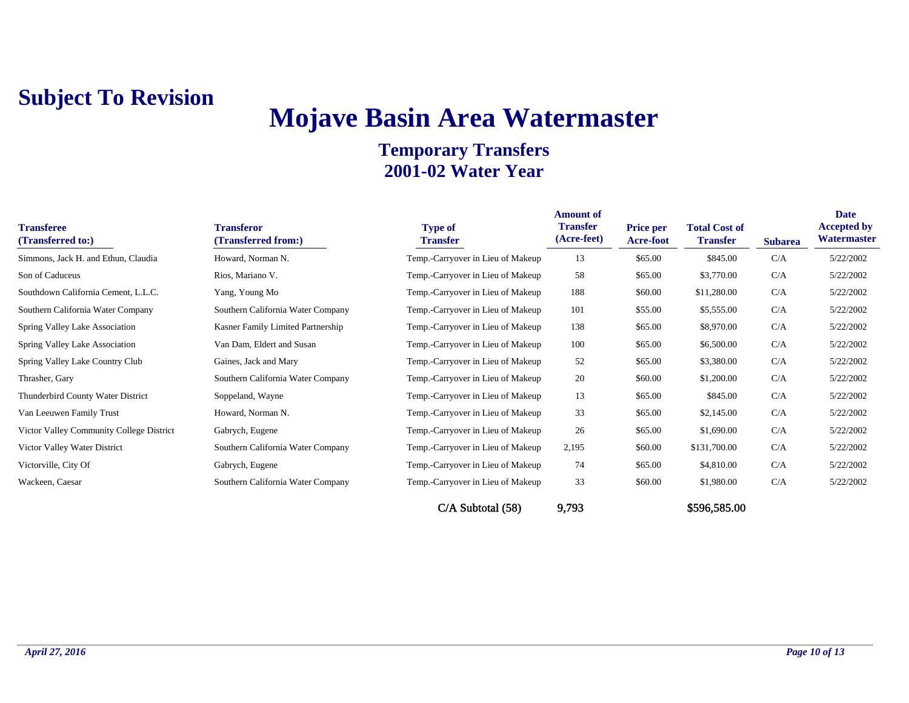# **Mojave Basin Area Watermaster**

| <b>Transferee</b><br>(Transferred to:)   | <b>Transferor</b><br>(Transferred from:) | <b>Type of</b><br><b>Transfer</b> | <b>Amount of</b><br><b>Transfer</b><br>(Acre-feet) | <b>Price per</b><br><b>Acre-foot</b> | <b>Total Cost of</b><br><b>Transfer</b> | <b>Subarea</b> | Date<br><b>Accepted by</b><br>Watermaster |
|------------------------------------------|------------------------------------------|-----------------------------------|----------------------------------------------------|--------------------------------------|-----------------------------------------|----------------|-------------------------------------------|
| Simmons, Jack H. and Ethun, Claudia      | Howard, Norman N.                        | Temp.-Carryover in Lieu of Makeup | 13                                                 | \$65.00                              | \$845.00                                | C/A            | 5/22/2002                                 |
| Son of Caduceus                          | Rios, Mariano V.                         | Temp.-Carryover in Lieu of Makeup | 58                                                 | \$65.00                              | \$3,770.00                              | C/A            | 5/22/2002                                 |
| Southdown California Cement, L.L.C.      | Yang, Young Mo                           | Temp.-Carryover in Lieu of Makeup | 188                                                | \$60.00                              | \$11,280.00                             | C/A            | 5/22/2002                                 |
| Southern California Water Company        | Southern California Water Company        | Temp.-Carryover in Lieu of Makeup | 101                                                | \$55.00                              | \$5,555.00                              | C/A            | 5/22/2002                                 |
| Spring Valley Lake Association           | Kasner Family Limited Partnership        | Temp.-Carryover in Lieu of Makeup | 138                                                | \$65.00                              | \$8,970.00                              | C/A            | 5/22/2002                                 |
| Spring Valley Lake Association           | Van Dam, Eldert and Susan                | Temp.-Carryover in Lieu of Makeup | 100                                                | \$65.00                              | \$6,500.00                              | C/A            | 5/22/2002                                 |
| Spring Valley Lake Country Club          | Gaines, Jack and Mary                    | Temp.-Carryover in Lieu of Makeup | 52                                                 | \$65.00                              | \$3,380.00                              | C/A            | 5/22/2002                                 |
| Thrasher, Gary                           | Southern California Water Company        | Temp.-Carryover in Lieu of Makeup | 20                                                 | \$60.00                              | \$1,200.00                              | C/A            | 5/22/2002                                 |
| Thunderbird County Water District        | Soppeland, Wayne                         | Temp.-Carryover in Lieu of Makeup | 13                                                 | \$65.00                              | \$845.00                                | C/A            | 5/22/2002                                 |
| Van Leeuwen Family Trust                 | Howard, Norman N.                        | Temp.-Carryover in Lieu of Makeup | 33                                                 | \$65.00                              | \$2,145.00                              | C/A            | 5/22/2002                                 |
| Victor Valley Community College District | Gabrych, Eugene                          | Temp.-Carryover in Lieu of Makeup | 26                                                 | \$65.00                              | \$1,690.00                              | C/A            | 5/22/2002                                 |
| Victor Valley Water District             | Southern California Water Company        | Temp.-Carryover in Lieu of Makeup | 2,195                                              | \$60.00                              | \$131,700.00                            | C/A            | 5/22/2002                                 |
| Victorville, City Of                     | Gabrych, Eugene                          | Temp.-Carryover in Lieu of Makeup | 74                                                 | \$65.00                              | \$4,810.00                              | C/A            | 5/22/2002                                 |
| Wackeen, Caesar                          | Southern California Water Company        | Temp.-Carryover in Lieu of Makeup | 33                                                 | \$60.00                              | \$1,980.00                              | C/A            | 5/22/2002                                 |
|                                          |                                          | $C/A$ Subtotal $(58)$             | 9,793                                              |                                      | \$596,585.00                            |                |                                           |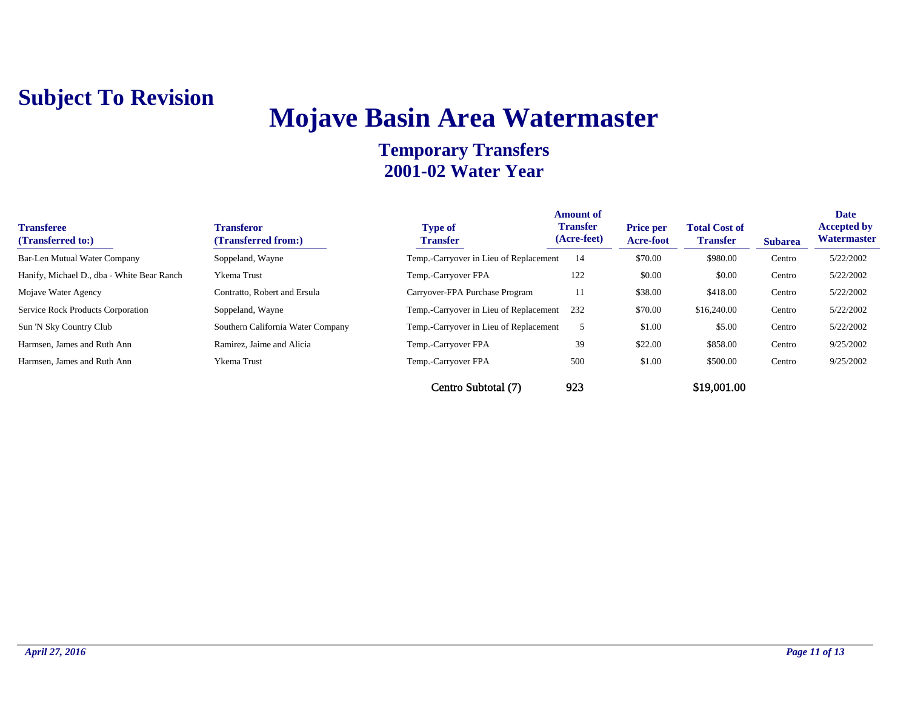## **Mojave Basin Area Watermaster**

| <b>Transferee</b><br>(Transferred to:)     | <b>Transferor</b><br>(Transferred from:) | <b>Type of</b><br><b>Transfer</b>      | <b>Amount of</b><br><b>Transfer</b><br>(Acre-feet) | <b>Price per</b><br><b>Acre-foot</b> | <b>Total Cost of</b><br><b>Transfer</b> | <b>Subarea</b> | <b>Date</b><br><b>Accepted by</b><br>Watermaster |
|--------------------------------------------|------------------------------------------|----------------------------------------|----------------------------------------------------|--------------------------------------|-----------------------------------------|----------------|--------------------------------------------------|
| Bar-Len Mutual Water Company               | Soppeland, Wayne                         | Temp.-Carryover in Lieu of Replacement | 14                                                 | \$70.00                              | \$980.00                                | Centro         | 5/22/2002                                        |
| Hanify, Michael D., dba - White Bear Ranch | Ykema Trust                              | Temp.-Carryover FPA                    | 122                                                | \$0.00                               | \$0.00                                  | Centro         | 5/22/2002                                        |
| Mojave Water Agency                        | Contratto, Robert and Ersula             | Carryover-FPA Purchase Program         | 11                                                 | \$38.00                              | \$418.00                                | Centro         | 5/22/2002                                        |
| <b>Service Rock Products Corporation</b>   | Soppeland, Wayne                         | Temp.-Carryover in Lieu of Replacement | 232                                                | \$70.00                              | \$16,240.00                             | Centro         | 5/22/2002                                        |
| Sun 'N Sky Country Club                    | Southern California Water Company        | Temp.-Carryover in Lieu of Replacement |                                                    | \$1.00                               | \$5.00                                  | Centro         | 5/22/2002                                        |
| Harmsen, James and Ruth Ann                | Ramirez, Jaime and Alicia                | Temp.-Carryover FPA                    | 39                                                 | \$22.00                              | \$858.00                                | Centro         | 9/25/2002                                        |
| Harmsen, James and Ruth Ann                | Ykema Trust                              | Temp.-Carryover FPA                    | 500                                                | \$1.00                               | \$500.00                                | Centro         | 9/25/2002                                        |
|                                            |                                          | Centro Subtotal (7)                    | 923                                                |                                      | \$19,001.00                             |                |                                                  |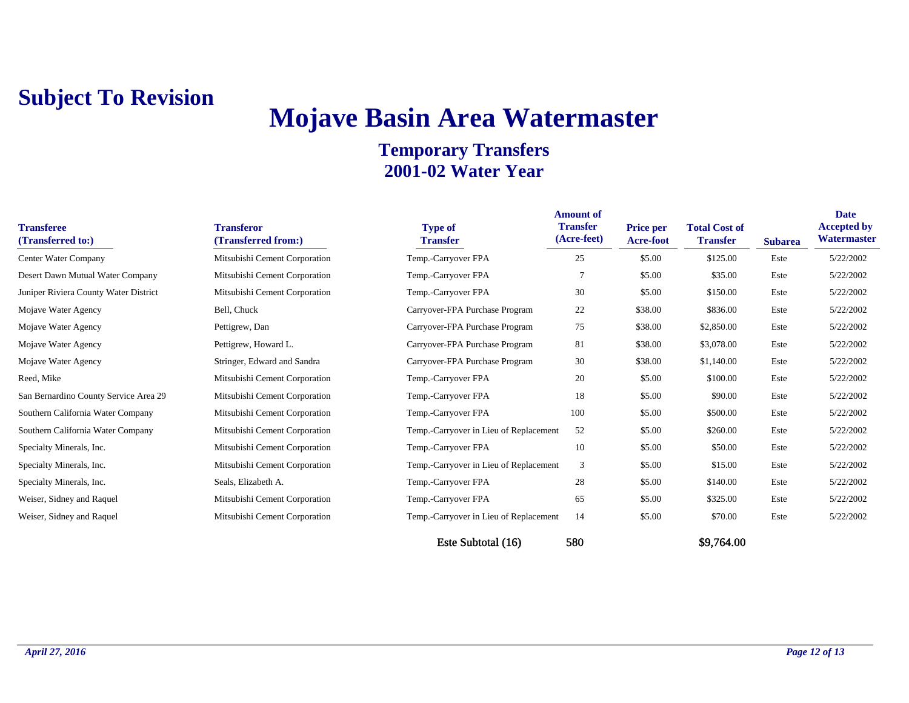## **Mojave Basin Area Watermaster**

| <b>Transferee</b><br>(Transferred to:) | <b>Transferor</b><br>(Transferred from:) | <b>Type of</b><br><b>Transfer</b>      | <b>Amount of</b><br><b>Transfer</b><br>(Acre-feet) | <b>Price per</b><br><b>Acre-foot</b> | <b>Total Cost of</b><br><b>Transfer</b> | <b>Subarea</b> | <b>Date</b><br><b>Accepted by</b><br>Watermaster |
|----------------------------------------|------------------------------------------|----------------------------------------|----------------------------------------------------|--------------------------------------|-----------------------------------------|----------------|--------------------------------------------------|
| Center Water Company                   | Mitsubishi Cement Corporation            | Temp.-Carryover FPA                    | 25                                                 | \$5.00                               | \$125.00                                | Este           | 5/22/2002                                        |
| Desert Dawn Mutual Water Company       | Mitsubishi Cement Corporation            | Temp.-Carryover FPA                    | -7                                                 | \$5.00                               | \$35.00                                 | Este           | 5/22/2002                                        |
| Juniper Riviera County Water District  | Mitsubishi Cement Corporation            | Temp.-Carryover FPA                    | 30                                                 | \$5.00                               | \$150.00                                | Este           | 5/22/2002                                        |
| Mojave Water Agency                    | Bell, Chuck                              | Carryover-FPA Purchase Program         | 22                                                 | \$38.00                              | \$836.00                                | Este           | 5/22/2002                                        |
| Mojave Water Agency                    | Pettigrew, Dan                           | Carryover-FPA Purchase Program         | 75                                                 | \$38.00                              | \$2,850.00                              | Este           | 5/22/2002                                        |
| Mojave Water Agency                    | Pettigrew, Howard L.                     | Carryover-FPA Purchase Program         | 81                                                 | \$38.00                              | \$3,078.00                              | Este           | 5/22/2002                                        |
| Mojave Water Agency                    | Stringer, Edward and Sandra              | Carryover-FPA Purchase Program         | 30                                                 | \$38.00                              | \$1,140.00                              | Este           | 5/22/2002                                        |
| Reed, Mike                             | Mitsubishi Cement Corporation            | Temp.-Carryover FPA                    | 20                                                 | \$5.00                               | \$100.00                                | Este           | 5/22/2002                                        |
| San Bernardino County Service Area 29  | Mitsubishi Cement Corporation            | Temp.-Carryover FPA                    | 18                                                 | \$5.00                               | \$90.00                                 | Este           | 5/22/2002                                        |
| Southern California Water Company      | Mitsubishi Cement Corporation            | Temp.-Carryover FPA                    | 100                                                | \$5.00                               | \$500.00                                | Este           | 5/22/2002                                        |
| Southern California Water Company      | Mitsubishi Cement Corporation            | Temp.-Carryover in Lieu of Replacement | 52                                                 | \$5.00                               | \$260.00                                | Este           | 5/22/2002                                        |
| Specialty Minerals, Inc.               | Mitsubishi Cement Corporation            | Temp.-Carryover FPA                    | 10                                                 | \$5.00                               | \$50.00                                 | Este           | 5/22/2002                                        |
| Specialty Minerals, Inc.               | Mitsubishi Cement Corporation            | Temp.-Carryover in Lieu of Replacement | 3                                                  | \$5.00                               | \$15.00                                 | Este           | 5/22/2002                                        |
| Specialty Minerals, Inc.               | Seals, Elizabeth A.                      | Temp.-Carryover FPA                    | 28                                                 | \$5.00                               | \$140.00                                | Este           | 5/22/2002                                        |
| Weiser, Sidney and Raquel              | Mitsubishi Cement Corporation            | Temp.-Carryover FPA                    | 65                                                 | \$5.00                               | \$325.00                                | Este           | 5/22/2002                                        |
| Weiser, Sidney and Raquel              | Mitsubishi Cement Corporation            | Temp.-Carryover in Lieu of Replacement | 14                                                 | \$5.00                               | \$70.00                                 | Este           | 5/22/2002                                        |
|                                        |                                          | Este Subtotal (16)                     | 580                                                |                                      | \$9,764.00                              |                |                                                  |